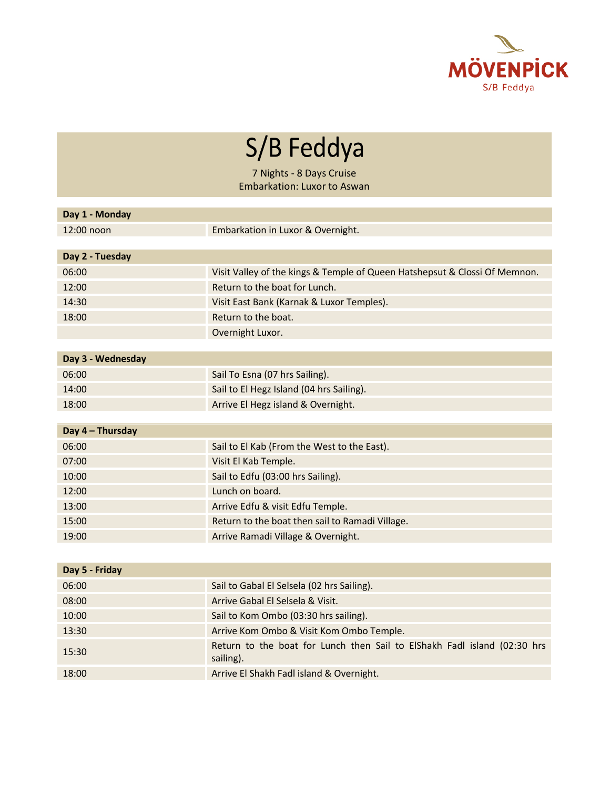

S/B Feddya

7 Nights - 8 Days Cruise Embarkation: Luxor to Aswan

| Day 1 - Monday    |                                                                                       |
|-------------------|---------------------------------------------------------------------------------------|
| 12:00 noon        | Embarkation in Luxor & Overnight.                                                     |
|                   |                                                                                       |
| Day 2 - Tuesday   |                                                                                       |
| 06:00             | Visit Valley of the kings & Temple of Queen Hatshepsut & Clossi Of Memnon.            |
| 12:00             | Return to the boat for Lunch.                                                         |
| 14:30             | Visit East Bank (Karnak & Luxor Temples).                                             |
| 18:00             | Return to the boat.                                                                   |
|                   | Overnight Luxor.                                                                      |
|                   |                                                                                       |
| Day 3 - Wednesday |                                                                                       |
| 06:00             | Sail To Esna (07 hrs Sailing).                                                        |
| 14:00             | Sail to El Hegz Island (04 hrs Sailing).                                              |
| 18:00             | Arrive El Hegz island & Overnight.                                                    |
|                   |                                                                                       |
| Day 4 - Thursday  |                                                                                       |
| 06:00             | Sail to El Kab (From the West to the East).                                           |
| 07:00             | Visit El Kab Temple.                                                                  |
| 10:00             | Sail to Edfu (03:00 hrs Sailing).                                                     |
| 12:00             | Lunch on board.                                                                       |
| 13:00             | Arrive Edfu & visit Edfu Temple.                                                      |
| 15:00             | Return to the boat then sail to Ramadi Village.                                       |
| 19:00             | Arrive Ramadi Village & Overnight.                                                    |
|                   |                                                                                       |
| Day 5 - Friday    |                                                                                       |
| 06:00             | Sail to Gabal El Selsela (02 hrs Sailing).                                            |
| 08:00             | Arrive Gabal El Selsela & Visit.                                                      |
| 10:00             | Sail to Kom Ombo (03:30 hrs sailing).                                                 |
| 13:30             | Arrive Kom Ombo & Visit Kom Ombo Temple.                                              |
| 15:30             | Return to the boat for Lunch then Sail to ElShakh Fadl island (02:30 hrs<br>sailing). |
| 18:00             | Arrive El Shakh Fadl island & Overnight.                                              |